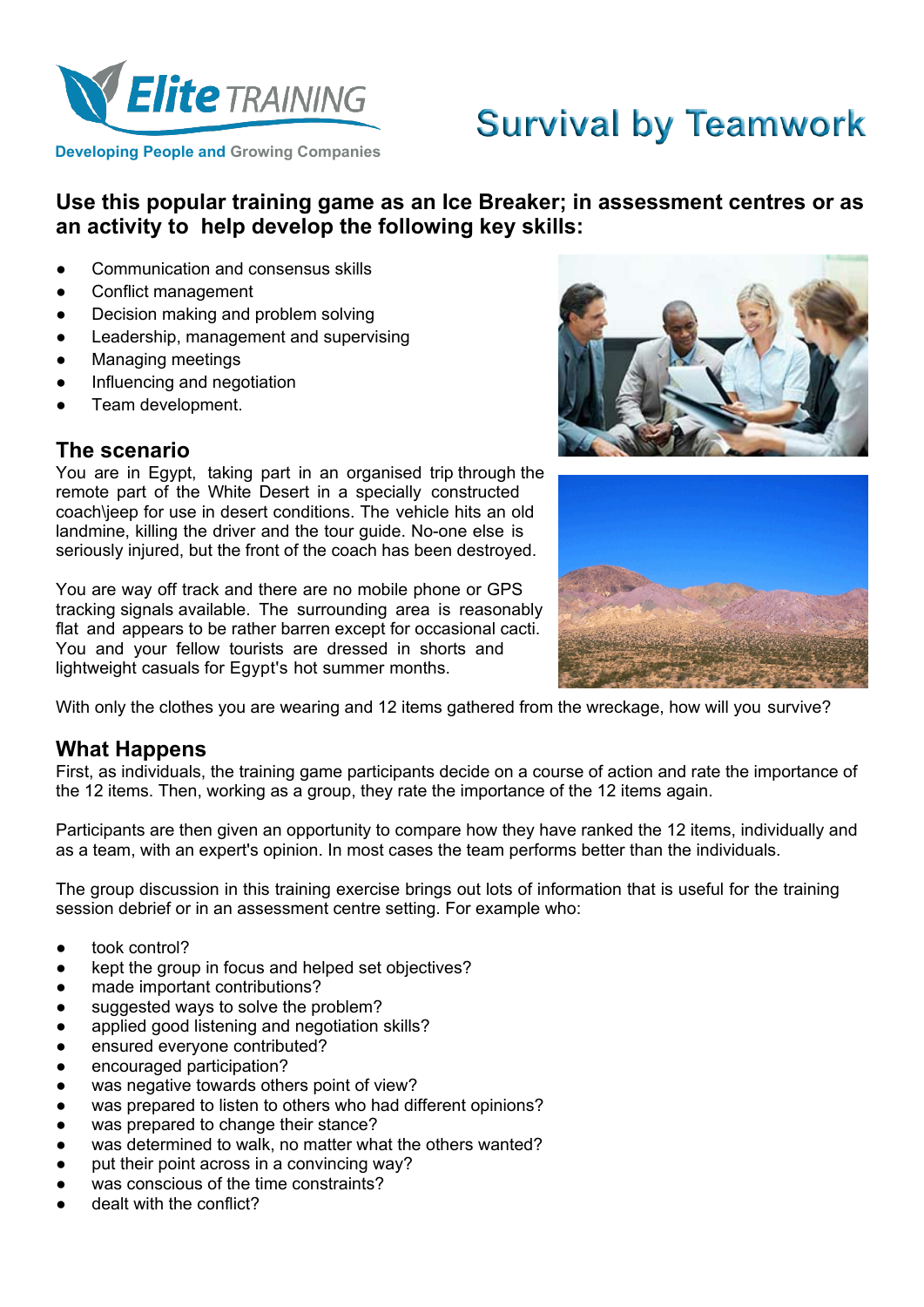

# **Survival by Teamwork**

**Developing People and Growing Companies**

# **Use this popular training game as an Ice Breaker; in assessment centres or as an activity to help develop the following key skills:**

- Communication and consensus skills
- Conflict management
- Decision making and problem solving
- Leadership, management and supervising
- **Managing meetings**
- Influencing and negotiation
- Team development.

### **The scenario**

You are in Egypt, taking part in an organised trip through the remote part of the White Desert in a specially constructed coach\jeep for use in desert conditions. The vehicle hits an old landmine, killing the driver and the tour guide. No-one else is seriously injured, but the front of the coach has been destroyed.

You are way off track and there are no mobile phone or GPS tracking signals available. The surrounding area is reasonably flat and appears to be rather barren except for occasional cacti. You and your fellow tourists are dressed in shorts and lightweight casuals for Egypt's hot summer months.





With only the clothes you are wearing and 12 items gathered from the wreckage, how will you survive?

# **What Happens**

First, as individuals, the training game participants decide on a course of action and rate the importance of the 12 items. Then, working as a group, they rate the importance of the 12 items again.

Participants are then given an opportunity to compare how they have ranked the 12 items, individually and as a team, with an expert's opinion. In most cases the team performs better than the individuals.

The group discussion in this training exercise brings out lots of information that is useful for the training session debrief or in an assessment centre setting. For example who:

- took control?
- kept the group in focus and helped set objectives?
- made important contributions?
- suggested ways to solve the problem?
- applied good listening and negotiation skills?
- ensured everyone contributed?
- encouraged participation?
- was negative towards others point of view?
- was prepared to listen to others who had different opinions?
- was prepared to change their stance?
- was determined to walk, no matter what the others wanted?
- put their point across in a convincing way?
- was conscious of the time constraints?
- dealt with the conflict?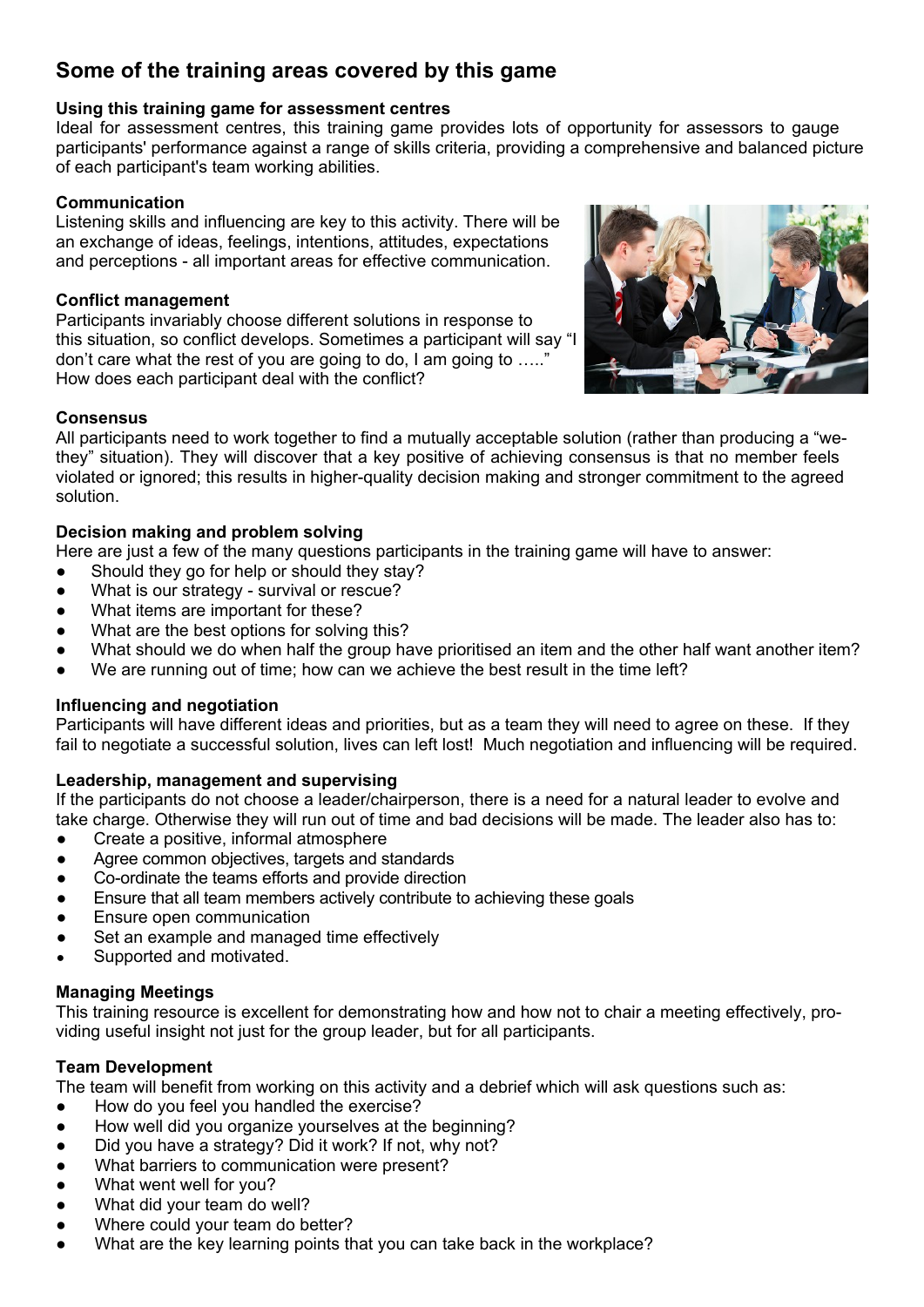# **Some of the training areas covered by this game**

#### **Using this training game for assessment centres**

Ideal for assessment centres, this training game provides lots of opportunity for assessors to gauge participants' performance against a range of skills criteria, providing a comprehensive and balanced picture of each participant's team working abilities.

#### **Communication**

Listening skills and influencing are key to this activity. There will be an exchange of ideas, feelings, intentions, attitudes, expectations and perceptions - all important areas for effective communication.

#### **Conflict management**

Participants invariably choose different solutions in response to this situation, so conflict develops. Sometimes a participant will say "I don't care what the rest of you are going to do, I am going to  $\dots$ . How does each participant deal with the conflict?



All participants need to work together to find a mutually acceptable solution (rather than producing a "wethey" situation). They will discover that a key positive of achieving consensus is that no member feels violated or ignored; this results in higher-quality decision making and stronger commitment to the agreed solution.

#### **Decision making and problem solving**

Here are just a few of the many questions participants in the training game will have to answer:

- Should they go for help or should they stay?
- What is our strategy survival or rescue?
- What items are important for these?
- What are the best options for solving this?
- What should we do when half the group have prioritised an item and the other half want another item?
- We are running out of time; how can we achieve the best result in the time left?

#### **Influencing and negotiation**

Participants will have different ideas and priorities, but as a team they will need to agree on these. If they fail to negotiate a successful solution, lives can left lost! Much negotiation and influencing will be required.

#### **Leadership, management and supervising**

If the participants do not choose a leader/chairperson, there is a need for a natural leader to evolve and take charge. Otherwise they will run out of time and bad decisions will be made. The leader also has to:

- Create a positive, informal atmosphere
- Agree common objectives, targets and standards
- Co-ordinate the teams efforts and provide direction
- Ensure that all team members actively contribute to achieving these goals
- Ensure open communication
- Set an example and managed time effectively
- Supported and motivated.

#### **Managing Meetings**

This training resource is excellent for demonstrating how and how not to chair a meeting effectively, providing useful insight not just for the group leader, but for all participants.

#### **Team Development**

The team will benefit from working on this activity and a debrief which will ask questions such as:

- How do you feel you handled the exercise?
- How well did you organize yourselves at the beginning?
- Did you have a strategy? Did it work? If not, why not?
- What barriers to communication were present?
- What went well for you?
- What did your team do well?
- Where could your team do better?
- What are the key learning points that you can take back in the workplace?